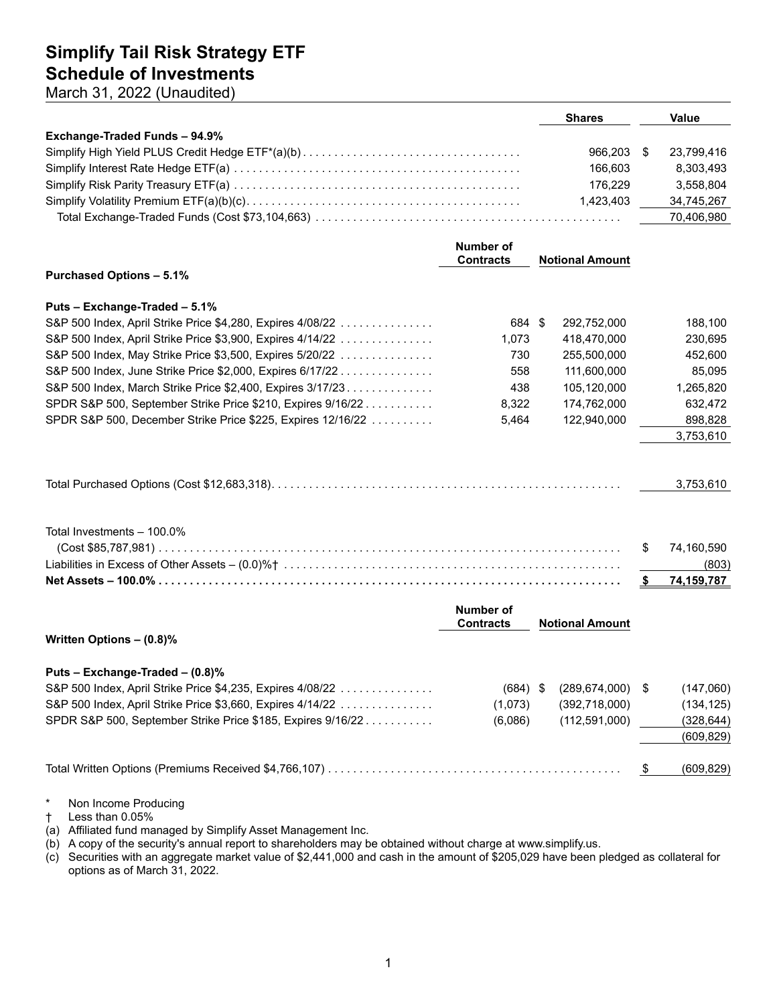March 31, 2022 (Unaudited)

|                               | <b>Shares</b> | Value      |
|-------------------------------|---------------|------------|
| Exchange-Traded Funds - 94.9% |               |            |
|                               | 966.203       | 23.799.416 |
|                               | 166.603       | 8.303.493  |
|                               | 176.229       | 3.558.804  |
|                               | 1.423.403     | 34.745.267 |
|                               |               | 70.406.980 |

|                                                             | Number of<br><b>Contracts</b>        |                        | <b>Notional Amount</b> |     |            |
|-------------------------------------------------------------|--------------------------------------|------------------------|------------------------|-----|------------|
| <b>Purchased Options - 5.1%</b>                             |                                      |                        |                        |     |            |
| Puts - Exchange-Traded - 5.1%                               |                                      |                        |                        |     |            |
| S&P 500 Index, April Strike Price \$4,280, Expires 4/08/22  | 684 \$                               |                        | 292,752,000            |     | 188,100    |
| S&P 500 Index, April Strike Price \$3,900, Expires 4/14/22  | 1,073                                |                        | 418,470,000            |     | 230,695    |
| S&P 500 Index, May Strike Price \$3,500, Expires 5/20/22    | 730                                  |                        | 255,500,000            |     | 452,600    |
| S&P 500 Index, June Strike Price \$2,000, Expires 6/17/22   | 558                                  |                        | 111,600,000            |     | 85,095     |
| S&P 500 Index, March Strike Price \$2,400, Expires 3/17/23. | 438                                  |                        | 105,120,000            |     | 1,265,820  |
| SPDR S&P 500, September Strike Price \$210, Expires 9/16/22 | 8,322                                |                        | 174,762,000            |     | 632,472    |
| SPDR S&P 500, December Strike Price \$225, Expires 12/16/22 | 5,464                                |                        | 122,940,000            |     | 898,828    |
|                                                             |                                      |                        |                        |     | 3,753,610  |
|                                                             |                                      |                        |                        |     |            |
|                                                             |                                      |                        |                        |     | 3,753,610  |
| Total Investments - 100.0%                                  |                                      |                        |                        | \$  | 74,160,590 |
|                                                             |                                      |                        |                        |     | (803)      |
|                                                             |                                      |                        |                        | -\$ | 74,159,787 |
|                                                             | <b>Number of</b><br><b>Contracts</b> | <b>Notional Amount</b> |                        |     |            |
| Written Options - (0.8)%                                    |                                      |                        |                        |     |            |
| Puts - Exchange-Traded - (0.8)%                             |                                      |                        |                        |     |            |
| S&P 500 Index, April Strike Price \$4,235, Expires 4/08/22  | $(684)$ \$                           |                        | (289, 674, 000)        | -\$ | (147,060)  |
| S&P 500 Index, April Strike Price \$3,660, Expires 4/14/22  | (1,073)                              |                        | (392, 718, 000)        |     | (134, 125) |
| SPDR S&P 500, September Strike Price \$185, Expires 9/16/22 | (6,086)                              |                        | (112, 591, 000)        |     | (328, 644) |
|                                                             |                                      |                        |                        |     | (609, 829) |
|                                                             |                                      |                        |                        | \$  | (609, 829) |

\* Non Income Producing

† Less than 0.05%

(a) Affiliated fund managed by Simplify Asset Management Inc.

(b) A copy of the security's annual report to shareholders may be obtained without charge at www.simplify.us.

(c) Securities with an aggregate market value of \$2,441,000 and cash in the amount of \$205,029 have been pledged as collateral for options as of March 31, 2022.